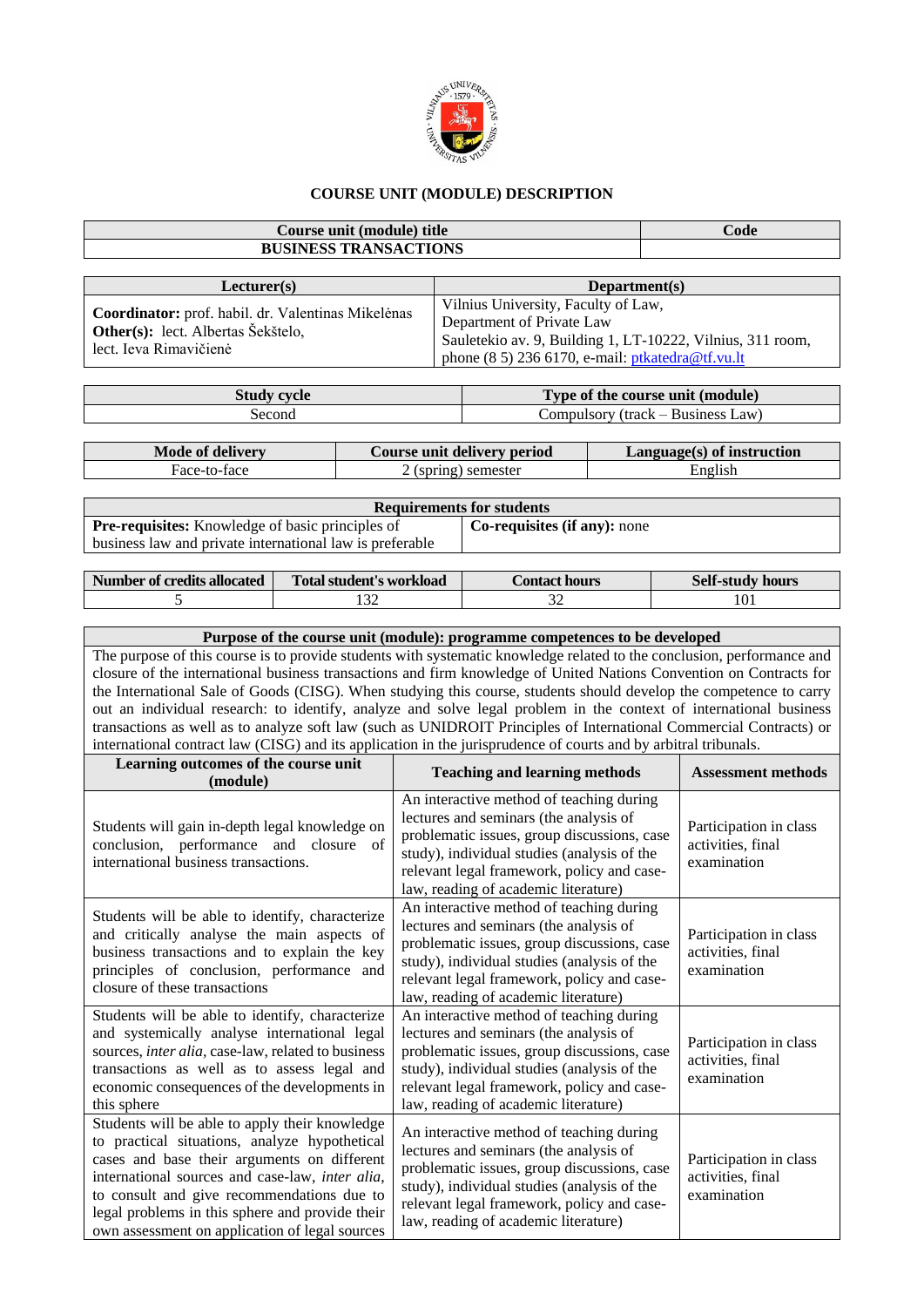

## **COURSE UNIT (MODULE) DESCRIPTION**

| Course unit (module) title<br>Code<br><b>BUSINESS TRANSACTIONS</b><br>Lecturer(s)<br>Department(s)<br>Vilnius University, Faculty of Law,<br>Coordinator: prof. habil. dr. Valentinas Mikelėnas<br>Department of Private Law<br>Other(s): lect. Albertas Šekštelo,<br>Sauletekio av. 9, Building 1, LT-10222, Vilnius, 311 room,<br>lect. Ieva Rimavičienė<br>phone (8 5) 236 6170, e-mail: ptkatedra@tf.vu.lt<br><b>Study cycle</b><br>Type of the course unit (module)<br>Compulsory (track - Business Law)<br>Second<br><b>Mode of delivery</b><br>Course unit delivery period<br>Language(s) of instruction<br>Face-to-face<br>2 (spring) semester<br>English<br><b>Requirements for students</b><br>Pre-requisites: Knowledge of basic principles of<br>Co-requisites (if any): none<br>business law and private international law is preferable<br><b>Number of credits allocated</b><br><b>Total student's workload</b><br><b>Contact hours</b><br><b>Self-study hours</b><br>132<br>5<br>32<br>101<br>Purpose of the course unit (module): programme competences to be developed<br>The purpose of this course is to provide students with systematic knowledge related to the conclusion, performance and<br>closure of the international business transactions and firm knowledge of United Nations Convention on Contracts for<br>the International Sale of Goods (CISG). When studying this course, students should develop the competence to carry<br>out an individual research: to identify, analyze and solve legal problem in the context of international business<br>transactions as well as to analyze soft law (such as UNIDROIT Principles of International Commercial Contracts) or<br>international contract law (CISG) and its application in the jurisprudence of courts and by arbitral tribunals.<br>Learning outcomes of the course unit<br><b>Teaching and learning methods</b><br><b>Assessment methods</b><br>(module)<br>An interactive method of teaching during<br>lectures and seminars (the analysis of<br>Students will gain in-depth legal knowledge on<br>Participation in class<br>problematic issues, group discussions, case<br>conclusion, performance and closure<br>of<br>activities, final<br>study), individual studies (analysis of the<br>international business transactions.<br>examination<br>relevant legal framework, policy and case-<br>law, reading of academic literature)<br>An interactive method of teaching during<br>Students will be able to identify, characterize<br>lectures and seminars (the analysis of<br>and critically analyse the main aspects of<br>Participation in class<br>problematic issues, group discussions, case<br>business transactions and to explain the key<br>activities, final<br>study), individual studies (analysis of the<br>principles of conclusion, performance and<br>examination<br>relevant legal framework, policy and case-<br>closure of these transactions<br>law, reading of academic literature)<br>Students will be able to identify, characterize<br>An interactive method of teaching during<br>and systemically analyse international legal<br>lectures and seminars (the analysis of<br>Participation in class<br>sources, inter alia, case-law, related to business<br>problematic issues, group discussions, case<br>activities, final<br>transactions as well as to assess legal and<br>study), individual studies (analysis of the<br>examination<br>economic consequences of the developments in<br>relevant legal framework, policy and case-<br>law, reading of academic literature)<br>this sphere<br>Students will be able to apply their knowledge<br>An interactive method of teaching during |                                                                                                                                                                                                                                                  |  |  |                                        |  |  |  |  |  |  |
|---------------------------------------------------------------------------------------------------------------------------------------------------------------------------------------------------------------------------------------------------------------------------------------------------------------------------------------------------------------------------------------------------------------------------------------------------------------------------------------------------------------------------------------------------------------------------------------------------------------------------------------------------------------------------------------------------------------------------------------------------------------------------------------------------------------------------------------------------------------------------------------------------------------------------------------------------------------------------------------------------------------------------------------------------------------------------------------------------------------------------------------------------------------------------------------------------------------------------------------------------------------------------------------------------------------------------------------------------------------------------------------------------------------------------------------------------------------------------------------------------------------------------------------------------------------------------------------------------------------------------------------------------------------------------------------------------------------------------------------------------------------------------------------------------------------------------------------------------------------------------------------------------------------------------------------------------------------------------------------------------------------------------------------------------------------------------------------------------------------------------------------------------------------------------------------------------------------------------------------------------------------------------------------------------------------------------------------------------------------------------------------------------------------------------------------------------------------------------------------------------------------------------------------------------------------------------------------------------------------------------------------------------------------------------------------------------------------------------------------------------------------------------------------------------------------------------------------------------------------------------------------------------------------------------------------------------------------------------------------------------------------------------------------------------------------------------------------------------------------------------------------------------------------------------------------------------------------------------------------------------------------------------------------------------------------------------------------------------------------------------------------------------------------------------------------------------------------------------------------------------------------------------------------------------------------------------------------------------------------------------------------------------------------------------------------------------------------------------|--------------------------------------------------------------------------------------------------------------------------------------------------------------------------------------------------------------------------------------------------|--|--|----------------------------------------|--|--|--|--|--|--|
|                                                                                                                                                                                                                                                                                                                                                                                                                                                                                                                                                                                                                                                                                                                                                                                                                                                                                                                                                                                                                                                                                                                                                                                                                                                                                                                                                                                                                                                                                                                                                                                                                                                                                                                                                                                                                                                                                                                                                                                                                                                                                                                                                                                                                                                                                                                                                                                                                                                                                                                                                                                                                                                                                                                                                                                                                                                                                                                                                                                                                                                                                                                                                                                                                                                                                                                                                                                                                                                                                                                                                                                                                                                                                                                           |                                                                                                                                                                                                                                                  |  |  |                                        |  |  |  |  |  |  |
|                                                                                                                                                                                                                                                                                                                                                                                                                                                                                                                                                                                                                                                                                                                                                                                                                                                                                                                                                                                                                                                                                                                                                                                                                                                                                                                                                                                                                                                                                                                                                                                                                                                                                                                                                                                                                                                                                                                                                                                                                                                                                                                                                                                                                                                                                                                                                                                                                                                                                                                                                                                                                                                                                                                                                                                                                                                                                                                                                                                                                                                                                                                                                                                                                                                                                                                                                                                                                                                                                                                                                                                                                                                                                                                           |                                                                                                                                                                                                                                                  |  |  |                                        |  |  |  |  |  |  |
|                                                                                                                                                                                                                                                                                                                                                                                                                                                                                                                                                                                                                                                                                                                                                                                                                                                                                                                                                                                                                                                                                                                                                                                                                                                                                                                                                                                                                                                                                                                                                                                                                                                                                                                                                                                                                                                                                                                                                                                                                                                                                                                                                                                                                                                                                                                                                                                                                                                                                                                                                                                                                                                                                                                                                                                                                                                                                                                                                                                                                                                                                                                                                                                                                                                                                                                                                                                                                                                                                                                                                                                                                                                                                                                           |                                                                                                                                                                                                                                                  |  |  |                                        |  |  |  |  |  |  |
|                                                                                                                                                                                                                                                                                                                                                                                                                                                                                                                                                                                                                                                                                                                                                                                                                                                                                                                                                                                                                                                                                                                                                                                                                                                                                                                                                                                                                                                                                                                                                                                                                                                                                                                                                                                                                                                                                                                                                                                                                                                                                                                                                                                                                                                                                                                                                                                                                                                                                                                                                                                                                                                                                                                                                                                                                                                                                                                                                                                                                                                                                                                                                                                                                                                                                                                                                                                                                                                                                                                                                                                                                                                                                                                           |                                                                                                                                                                                                                                                  |  |  |                                        |  |  |  |  |  |  |
|                                                                                                                                                                                                                                                                                                                                                                                                                                                                                                                                                                                                                                                                                                                                                                                                                                                                                                                                                                                                                                                                                                                                                                                                                                                                                                                                                                                                                                                                                                                                                                                                                                                                                                                                                                                                                                                                                                                                                                                                                                                                                                                                                                                                                                                                                                                                                                                                                                                                                                                                                                                                                                                                                                                                                                                                                                                                                                                                                                                                                                                                                                                                                                                                                                                                                                                                                                                                                                                                                                                                                                                                                                                                                                                           |                                                                                                                                                                                                                                                  |  |  |                                        |  |  |  |  |  |  |
|                                                                                                                                                                                                                                                                                                                                                                                                                                                                                                                                                                                                                                                                                                                                                                                                                                                                                                                                                                                                                                                                                                                                                                                                                                                                                                                                                                                                                                                                                                                                                                                                                                                                                                                                                                                                                                                                                                                                                                                                                                                                                                                                                                                                                                                                                                                                                                                                                                                                                                                                                                                                                                                                                                                                                                                                                                                                                                                                                                                                                                                                                                                                                                                                                                                                                                                                                                                                                                                                                                                                                                                                                                                                                                                           |                                                                                                                                                                                                                                                  |  |  |                                        |  |  |  |  |  |  |
|                                                                                                                                                                                                                                                                                                                                                                                                                                                                                                                                                                                                                                                                                                                                                                                                                                                                                                                                                                                                                                                                                                                                                                                                                                                                                                                                                                                                                                                                                                                                                                                                                                                                                                                                                                                                                                                                                                                                                                                                                                                                                                                                                                                                                                                                                                                                                                                                                                                                                                                                                                                                                                                                                                                                                                                                                                                                                                                                                                                                                                                                                                                                                                                                                                                                                                                                                                                                                                                                                                                                                                                                                                                                                                                           |                                                                                                                                                                                                                                                  |  |  |                                        |  |  |  |  |  |  |
|                                                                                                                                                                                                                                                                                                                                                                                                                                                                                                                                                                                                                                                                                                                                                                                                                                                                                                                                                                                                                                                                                                                                                                                                                                                                                                                                                                                                                                                                                                                                                                                                                                                                                                                                                                                                                                                                                                                                                                                                                                                                                                                                                                                                                                                                                                                                                                                                                                                                                                                                                                                                                                                                                                                                                                                                                                                                                                                                                                                                                                                                                                                                                                                                                                                                                                                                                                                                                                                                                                                                                                                                                                                                                                                           |                                                                                                                                                                                                                                                  |  |  |                                        |  |  |  |  |  |  |
|                                                                                                                                                                                                                                                                                                                                                                                                                                                                                                                                                                                                                                                                                                                                                                                                                                                                                                                                                                                                                                                                                                                                                                                                                                                                                                                                                                                                                                                                                                                                                                                                                                                                                                                                                                                                                                                                                                                                                                                                                                                                                                                                                                                                                                                                                                                                                                                                                                                                                                                                                                                                                                                                                                                                                                                                                                                                                                                                                                                                                                                                                                                                                                                                                                                                                                                                                                                                                                                                                                                                                                                                                                                                                                                           |                                                                                                                                                                                                                                                  |  |  |                                        |  |  |  |  |  |  |
|                                                                                                                                                                                                                                                                                                                                                                                                                                                                                                                                                                                                                                                                                                                                                                                                                                                                                                                                                                                                                                                                                                                                                                                                                                                                                                                                                                                                                                                                                                                                                                                                                                                                                                                                                                                                                                                                                                                                                                                                                                                                                                                                                                                                                                                                                                                                                                                                                                                                                                                                                                                                                                                                                                                                                                                                                                                                                                                                                                                                                                                                                                                                                                                                                                                                                                                                                                                                                                                                                                                                                                                                                                                                                                                           |                                                                                                                                                                                                                                                  |  |  |                                        |  |  |  |  |  |  |
|                                                                                                                                                                                                                                                                                                                                                                                                                                                                                                                                                                                                                                                                                                                                                                                                                                                                                                                                                                                                                                                                                                                                                                                                                                                                                                                                                                                                                                                                                                                                                                                                                                                                                                                                                                                                                                                                                                                                                                                                                                                                                                                                                                                                                                                                                                                                                                                                                                                                                                                                                                                                                                                                                                                                                                                                                                                                                                                                                                                                                                                                                                                                                                                                                                                                                                                                                                                                                                                                                                                                                                                                                                                                                                                           |                                                                                                                                                                                                                                                  |  |  |                                        |  |  |  |  |  |  |
|                                                                                                                                                                                                                                                                                                                                                                                                                                                                                                                                                                                                                                                                                                                                                                                                                                                                                                                                                                                                                                                                                                                                                                                                                                                                                                                                                                                                                                                                                                                                                                                                                                                                                                                                                                                                                                                                                                                                                                                                                                                                                                                                                                                                                                                                                                                                                                                                                                                                                                                                                                                                                                                                                                                                                                                                                                                                                                                                                                                                                                                                                                                                                                                                                                                                                                                                                                                                                                                                                                                                                                                                                                                                                                                           |                                                                                                                                                                                                                                                  |  |  |                                        |  |  |  |  |  |  |
|                                                                                                                                                                                                                                                                                                                                                                                                                                                                                                                                                                                                                                                                                                                                                                                                                                                                                                                                                                                                                                                                                                                                                                                                                                                                                                                                                                                                                                                                                                                                                                                                                                                                                                                                                                                                                                                                                                                                                                                                                                                                                                                                                                                                                                                                                                                                                                                                                                                                                                                                                                                                                                                                                                                                                                                                                                                                                                                                                                                                                                                                                                                                                                                                                                                                                                                                                                                                                                                                                                                                                                                                                                                                                                                           |                                                                                                                                                                                                                                                  |  |  |                                        |  |  |  |  |  |  |
|                                                                                                                                                                                                                                                                                                                                                                                                                                                                                                                                                                                                                                                                                                                                                                                                                                                                                                                                                                                                                                                                                                                                                                                                                                                                                                                                                                                                                                                                                                                                                                                                                                                                                                                                                                                                                                                                                                                                                                                                                                                                                                                                                                                                                                                                                                                                                                                                                                                                                                                                                                                                                                                                                                                                                                                                                                                                                                                                                                                                                                                                                                                                                                                                                                                                                                                                                                                                                                                                                                                                                                                                                                                                                                                           |                                                                                                                                                                                                                                                  |  |  |                                        |  |  |  |  |  |  |
|                                                                                                                                                                                                                                                                                                                                                                                                                                                                                                                                                                                                                                                                                                                                                                                                                                                                                                                                                                                                                                                                                                                                                                                                                                                                                                                                                                                                                                                                                                                                                                                                                                                                                                                                                                                                                                                                                                                                                                                                                                                                                                                                                                                                                                                                                                                                                                                                                                                                                                                                                                                                                                                                                                                                                                                                                                                                                                                                                                                                                                                                                                                                                                                                                                                                                                                                                                                                                                                                                                                                                                                                                                                                                                                           |                                                                                                                                                                                                                                                  |  |  |                                        |  |  |  |  |  |  |
|                                                                                                                                                                                                                                                                                                                                                                                                                                                                                                                                                                                                                                                                                                                                                                                                                                                                                                                                                                                                                                                                                                                                                                                                                                                                                                                                                                                                                                                                                                                                                                                                                                                                                                                                                                                                                                                                                                                                                                                                                                                                                                                                                                                                                                                                                                                                                                                                                                                                                                                                                                                                                                                                                                                                                                                                                                                                                                                                                                                                                                                                                                                                                                                                                                                                                                                                                                                                                                                                                                                                                                                                                                                                                                                           |                                                                                                                                                                                                                                                  |  |  |                                        |  |  |  |  |  |  |
|                                                                                                                                                                                                                                                                                                                                                                                                                                                                                                                                                                                                                                                                                                                                                                                                                                                                                                                                                                                                                                                                                                                                                                                                                                                                                                                                                                                                                                                                                                                                                                                                                                                                                                                                                                                                                                                                                                                                                                                                                                                                                                                                                                                                                                                                                                                                                                                                                                                                                                                                                                                                                                                                                                                                                                                                                                                                                                                                                                                                                                                                                                                                                                                                                                                                                                                                                                                                                                                                                                                                                                                                                                                                                                                           |                                                                                                                                                                                                                                                  |  |  |                                        |  |  |  |  |  |  |
|                                                                                                                                                                                                                                                                                                                                                                                                                                                                                                                                                                                                                                                                                                                                                                                                                                                                                                                                                                                                                                                                                                                                                                                                                                                                                                                                                                                                                                                                                                                                                                                                                                                                                                                                                                                                                                                                                                                                                                                                                                                                                                                                                                                                                                                                                                                                                                                                                                                                                                                                                                                                                                                                                                                                                                                                                                                                                                                                                                                                                                                                                                                                                                                                                                                                                                                                                                                                                                                                                                                                                                                                                                                                                                                           |                                                                                                                                                                                                                                                  |  |  |                                        |  |  |  |  |  |  |
|                                                                                                                                                                                                                                                                                                                                                                                                                                                                                                                                                                                                                                                                                                                                                                                                                                                                                                                                                                                                                                                                                                                                                                                                                                                                                                                                                                                                                                                                                                                                                                                                                                                                                                                                                                                                                                                                                                                                                                                                                                                                                                                                                                                                                                                                                                                                                                                                                                                                                                                                                                                                                                                                                                                                                                                                                                                                                                                                                                                                                                                                                                                                                                                                                                                                                                                                                                                                                                                                                                                                                                                                                                                                                                                           |                                                                                                                                                                                                                                                  |  |  |                                        |  |  |  |  |  |  |
|                                                                                                                                                                                                                                                                                                                                                                                                                                                                                                                                                                                                                                                                                                                                                                                                                                                                                                                                                                                                                                                                                                                                                                                                                                                                                                                                                                                                                                                                                                                                                                                                                                                                                                                                                                                                                                                                                                                                                                                                                                                                                                                                                                                                                                                                                                                                                                                                                                                                                                                                                                                                                                                                                                                                                                                                                                                                                                                                                                                                                                                                                                                                                                                                                                                                                                                                                                                                                                                                                                                                                                                                                                                                                                                           |                                                                                                                                                                                                                                                  |  |  |                                        |  |  |  |  |  |  |
|                                                                                                                                                                                                                                                                                                                                                                                                                                                                                                                                                                                                                                                                                                                                                                                                                                                                                                                                                                                                                                                                                                                                                                                                                                                                                                                                                                                                                                                                                                                                                                                                                                                                                                                                                                                                                                                                                                                                                                                                                                                                                                                                                                                                                                                                                                                                                                                                                                                                                                                                                                                                                                                                                                                                                                                                                                                                                                                                                                                                                                                                                                                                                                                                                                                                                                                                                                                                                                                                                                                                                                                                                                                                                                                           |                                                                                                                                                                                                                                                  |  |  |                                        |  |  |  |  |  |  |
|                                                                                                                                                                                                                                                                                                                                                                                                                                                                                                                                                                                                                                                                                                                                                                                                                                                                                                                                                                                                                                                                                                                                                                                                                                                                                                                                                                                                                                                                                                                                                                                                                                                                                                                                                                                                                                                                                                                                                                                                                                                                                                                                                                                                                                                                                                                                                                                                                                                                                                                                                                                                                                                                                                                                                                                                                                                                                                                                                                                                                                                                                                                                                                                                                                                                                                                                                                                                                                                                                                                                                                                                                                                                                                                           |                                                                                                                                                                                                                                                  |  |  |                                        |  |  |  |  |  |  |
|                                                                                                                                                                                                                                                                                                                                                                                                                                                                                                                                                                                                                                                                                                                                                                                                                                                                                                                                                                                                                                                                                                                                                                                                                                                                                                                                                                                                                                                                                                                                                                                                                                                                                                                                                                                                                                                                                                                                                                                                                                                                                                                                                                                                                                                                                                                                                                                                                                                                                                                                                                                                                                                                                                                                                                                                                                                                                                                                                                                                                                                                                                                                                                                                                                                                                                                                                                                                                                                                                                                                                                                                                                                                                                                           |                                                                                                                                                                                                                                                  |  |  |                                        |  |  |  |  |  |  |
|                                                                                                                                                                                                                                                                                                                                                                                                                                                                                                                                                                                                                                                                                                                                                                                                                                                                                                                                                                                                                                                                                                                                                                                                                                                                                                                                                                                                                                                                                                                                                                                                                                                                                                                                                                                                                                                                                                                                                                                                                                                                                                                                                                                                                                                                                                                                                                                                                                                                                                                                                                                                                                                                                                                                                                                                                                                                                                                                                                                                                                                                                                                                                                                                                                                                                                                                                                                                                                                                                                                                                                                                                                                                                                                           |                                                                                                                                                                                                                                                  |  |  |                                        |  |  |  |  |  |  |
|                                                                                                                                                                                                                                                                                                                                                                                                                                                                                                                                                                                                                                                                                                                                                                                                                                                                                                                                                                                                                                                                                                                                                                                                                                                                                                                                                                                                                                                                                                                                                                                                                                                                                                                                                                                                                                                                                                                                                                                                                                                                                                                                                                                                                                                                                                                                                                                                                                                                                                                                                                                                                                                                                                                                                                                                                                                                                                                                                                                                                                                                                                                                                                                                                                                                                                                                                                                                                                                                                                                                                                                                                                                                                                                           |                                                                                                                                                                                                                                                  |  |  |                                        |  |  |  |  |  |  |
|                                                                                                                                                                                                                                                                                                                                                                                                                                                                                                                                                                                                                                                                                                                                                                                                                                                                                                                                                                                                                                                                                                                                                                                                                                                                                                                                                                                                                                                                                                                                                                                                                                                                                                                                                                                                                                                                                                                                                                                                                                                                                                                                                                                                                                                                                                                                                                                                                                                                                                                                                                                                                                                                                                                                                                                                                                                                                                                                                                                                                                                                                                                                                                                                                                                                                                                                                                                                                                                                                                                                                                                                                                                                                                                           |                                                                                                                                                                                                                                                  |  |  |                                        |  |  |  |  |  |  |
|                                                                                                                                                                                                                                                                                                                                                                                                                                                                                                                                                                                                                                                                                                                                                                                                                                                                                                                                                                                                                                                                                                                                                                                                                                                                                                                                                                                                                                                                                                                                                                                                                                                                                                                                                                                                                                                                                                                                                                                                                                                                                                                                                                                                                                                                                                                                                                                                                                                                                                                                                                                                                                                                                                                                                                                                                                                                                                                                                                                                                                                                                                                                                                                                                                                                                                                                                                                                                                                                                                                                                                                                                                                                                                                           |                                                                                                                                                                                                                                                  |  |  |                                        |  |  |  |  |  |  |
|                                                                                                                                                                                                                                                                                                                                                                                                                                                                                                                                                                                                                                                                                                                                                                                                                                                                                                                                                                                                                                                                                                                                                                                                                                                                                                                                                                                                                                                                                                                                                                                                                                                                                                                                                                                                                                                                                                                                                                                                                                                                                                                                                                                                                                                                                                                                                                                                                                                                                                                                                                                                                                                                                                                                                                                                                                                                                                                                                                                                                                                                                                                                                                                                                                                                                                                                                                                                                                                                                                                                                                                                                                                                                                                           |                                                                                                                                                                                                                                                  |  |  |                                        |  |  |  |  |  |  |
|                                                                                                                                                                                                                                                                                                                                                                                                                                                                                                                                                                                                                                                                                                                                                                                                                                                                                                                                                                                                                                                                                                                                                                                                                                                                                                                                                                                                                                                                                                                                                                                                                                                                                                                                                                                                                                                                                                                                                                                                                                                                                                                                                                                                                                                                                                                                                                                                                                                                                                                                                                                                                                                                                                                                                                                                                                                                                                                                                                                                                                                                                                                                                                                                                                                                                                                                                                                                                                                                                                                                                                                                                                                                                                                           |                                                                                                                                                                                                                                                  |  |  |                                        |  |  |  |  |  |  |
|                                                                                                                                                                                                                                                                                                                                                                                                                                                                                                                                                                                                                                                                                                                                                                                                                                                                                                                                                                                                                                                                                                                                                                                                                                                                                                                                                                                                                                                                                                                                                                                                                                                                                                                                                                                                                                                                                                                                                                                                                                                                                                                                                                                                                                                                                                                                                                                                                                                                                                                                                                                                                                                                                                                                                                                                                                                                                                                                                                                                                                                                                                                                                                                                                                                                                                                                                                                                                                                                                                                                                                                                                                                                                                                           |                                                                                                                                                                                                                                                  |  |  |                                        |  |  |  |  |  |  |
|                                                                                                                                                                                                                                                                                                                                                                                                                                                                                                                                                                                                                                                                                                                                                                                                                                                                                                                                                                                                                                                                                                                                                                                                                                                                                                                                                                                                                                                                                                                                                                                                                                                                                                                                                                                                                                                                                                                                                                                                                                                                                                                                                                                                                                                                                                                                                                                                                                                                                                                                                                                                                                                                                                                                                                                                                                                                                                                                                                                                                                                                                                                                                                                                                                                                                                                                                                                                                                                                                                                                                                                                                                                                                                                           |                                                                                                                                                                                                                                                  |  |  |                                        |  |  |  |  |  |  |
|                                                                                                                                                                                                                                                                                                                                                                                                                                                                                                                                                                                                                                                                                                                                                                                                                                                                                                                                                                                                                                                                                                                                                                                                                                                                                                                                                                                                                                                                                                                                                                                                                                                                                                                                                                                                                                                                                                                                                                                                                                                                                                                                                                                                                                                                                                                                                                                                                                                                                                                                                                                                                                                                                                                                                                                                                                                                                                                                                                                                                                                                                                                                                                                                                                                                                                                                                                                                                                                                                                                                                                                                                                                                                                                           |                                                                                                                                                                                                                                                  |  |  |                                        |  |  |  |  |  |  |
|                                                                                                                                                                                                                                                                                                                                                                                                                                                                                                                                                                                                                                                                                                                                                                                                                                                                                                                                                                                                                                                                                                                                                                                                                                                                                                                                                                                                                                                                                                                                                                                                                                                                                                                                                                                                                                                                                                                                                                                                                                                                                                                                                                                                                                                                                                                                                                                                                                                                                                                                                                                                                                                                                                                                                                                                                                                                                                                                                                                                                                                                                                                                                                                                                                                                                                                                                                                                                                                                                                                                                                                                                                                                                                                           |                                                                                                                                                                                                                                                  |  |  |                                        |  |  |  |  |  |  |
|                                                                                                                                                                                                                                                                                                                                                                                                                                                                                                                                                                                                                                                                                                                                                                                                                                                                                                                                                                                                                                                                                                                                                                                                                                                                                                                                                                                                                                                                                                                                                                                                                                                                                                                                                                                                                                                                                                                                                                                                                                                                                                                                                                                                                                                                                                                                                                                                                                                                                                                                                                                                                                                                                                                                                                                                                                                                                                                                                                                                                                                                                                                                                                                                                                                                                                                                                                                                                                                                                                                                                                                                                                                                                                                           |                                                                                                                                                                                                                                                  |  |  |                                        |  |  |  |  |  |  |
|                                                                                                                                                                                                                                                                                                                                                                                                                                                                                                                                                                                                                                                                                                                                                                                                                                                                                                                                                                                                                                                                                                                                                                                                                                                                                                                                                                                                                                                                                                                                                                                                                                                                                                                                                                                                                                                                                                                                                                                                                                                                                                                                                                                                                                                                                                                                                                                                                                                                                                                                                                                                                                                                                                                                                                                                                                                                                                                                                                                                                                                                                                                                                                                                                                                                                                                                                                                                                                                                                                                                                                                                                                                                                                                           |                                                                                                                                                                                                                                                  |  |  |                                        |  |  |  |  |  |  |
|                                                                                                                                                                                                                                                                                                                                                                                                                                                                                                                                                                                                                                                                                                                                                                                                                                                                                                                                                                                                                                                                                                                                                                                                                                                                                                                                                                                                                                                                                                                                                                                                                                                                                                                                                                                                                                                                                                                                                                                                                                                                                                                                                                                                                                                                                                                                                                                                                                                                                                                                                                                                                                                                                                                                                                                                                                                                                                                                                                                                                                                                                                                                                                                                                                                                                                                                                                                                                                                                                                                                                                                                                                                                                                                           |                                                                                                                                                                                                                                                  |  |  |                                        |  |  |  |  |  |  |
|                                                                                                                                                                                                                                                                                                                                                                                                                                                                                                                                                                                                                                                                                                                                                                                                                                                                                                                                                                                                                                                                                                                                                                                                                                                                                                                                                                                                                                                                                                                                                                                                                                                                                                                                                                                                                                                                                                                                                                                                                                                                                                                                                                                                                                                                                                                                                                                                                                                                                                                                                                                                                                                                                                                                                                                                                                                                                                                                                                                                                                                                                                                                                                                                                                                                                                                                                                                                                                                                                                                                                                                                                                                                                                                           |                                                                                                                                                                                                                                                  |  |  |                                        |  |  |  |  |  |  |
|                                                                                                                                                                                                                                                                                                                                                                                                                                                                                                                                                                                                                                                                                                                                                                                                                                                                                                                                                                                                                                                                                                                                                                                                                                                                                                                                                                                                                                                                                                                                                                                                                                                                                                                                                                                                                                                                                                                                                                                                                                                                                                                                                                                                                                                                                                                                                                                                                                                                                                                                                                                                                                                                                                                                                                                                                                                                                                                                                                                                                                                                                                                                                                                                                                                                                                                                                                                                                                                                                                                                                                                                                                                                                                                           |                                                                                                                                                                                                                                                  |  |  |                                        |  |  |  |  |  |  |
|                                                                                                                                                                                                                                                                                                                                                                                                                                                                                                                                                                                                                                                                                                                                                                                                                                                                                                                                                                                                                                                                                                                                                                                                                                                                                                                                                                                                                                                                                                                                                                                                                                                                                                                                                                                                                                                                                                                                                                                                                                                                                                                                                                                                                                                                                                                                                                                                                                                                                                                                                                                                                                                                                                                                                                                                                                                                                                                                                                                                                                                                                                                                                                                                                                                                                                                                                                                                                                                                                                                                                                                                                                                                                                                           |                                                                                                                                                                                                                                                  |  |  |                                        |  |  |  |  |  |  |
|                                                                                                                                                                                                                                                                                                                                                                                                                                                                                                                                                                                                                                                                                                                                                                                                                                                                                                                                                                                                                                                                                                                                                                                                                                                                                                                                                                                                                                                                                                                                                                                                                                                                                                                                                                                                                                                                                                                                                                                                                                                                                                                                                                                                                                                                                                                                                                                                                                                                                                                                                                                                                                                                                                                                                                                                                                                                                                                                                                                                                                                                                                                                                                                                                                                                                                                                                                                                                                                                                                                                                                                                                                                                                                                           |                                                                                                                                                                                                                                                  |  |  |                                        |  |  |  |  |  |  |
|                                                                                                                                                                                                                                                                                                                                                                                                                                                                                                                                                                                                                                                                                                                                                                                                                                                                                                                                                                                                                                                                                                                                                                                                                                                                                                                                                                                                                                                                                                                                                                                                                                                                                                                                                                                                                                                                                                                                                                                                                                                                                                                                                                                                                                                                                                                                                                                                                                                                                                                                                                                                                                                                                                                                                                                                                                                                                                                                                                                                                                                                                                                                                                                                                                                                                                                                                                                                                                                                                                                                                                                                                                                                                                                           |                                                                                                                                                                                                                                                  |  |  |                                        |  |  |  |  |  |  |
|                                                                                                                                                                                                                                                                                                                                                                                                                                                                                                                                                                                                                                                                                                                                                                                                                                                                                                                                                                                                                                                                                                                                                                                                                                                                                                                                                                                                                                                                                                                                                                                                                                                                                                                                                                                                                                                                                                                                                                                                                                                                                                                                                                                                                                                                                                                                                                                                                                                                                                                                                                                                                                                                                                                                                                                                                                                                                                                                                                                                                                                                                                                                                                                                                                                                                                                                                                                                                                                                                                                                                                                                                                                                                                                           |                                                                                                                                                                                                                                                  |  |  |                                        |  |  |  |  |  |  |
|                                                                                                                                                                                                                                                                                                                                                                                                                                                                                                                                                                                                                                                                                                                                                                                                                                                                                                                                                                                                                                                                                                                                                                                                                                                                                                                                                                                                                                                                                                                                                                                                                                                                                                                                                                                                                                                                                                                                                                                                                                                                                                                                                                                                                                                                                                                                                                                                                                                                                                                                                                                                                                                                                                                                                                                                                                                                                                                                                                                                                                                                                                                                                                                                                                                                                                                                                                                                                                                                                                                                                                                                                                                                                                                           |                                                                                                                                                                                                                                                  |  |  |                                        |  |  |  |  |  |  |
|                                                                                                                                                                                                                                                                                                                                                                                                                                                                                                                                                                                                                                                                                                                                                                                                                                                                                                                                                                                                                                                                                                                                                                                                                                                                                                                                                                                                                                                                                                                                                                                                                                                                                                                                                                                                                                                                                                                                                                                                                                                                                                                                                                                                                                                                                                                                                                                                                                                                                                                                                                                                                                                                                                                                                                                                                                                                                                                                                                                                                                                                                                                                                                                                                                                                                                                                                                                                                                                                                                                                                                                                                                                                                                                           |                                                                                                                                                                                                                                                  |  |  |                                        |  |  |  |  |  |  |
|                                                                                                                                                                                                                                                                                                                                                                                                                                                                                                                                                                                                                                                                                                                                                                                                                                                                                                                                                                                                                                                                                                                                                                                                                                                                                                                                                                                                                                                                                                                                                                                                                                                                                                                                                                                                                                                                                                                                                                                                                                                                                                                                                                                                                                                                                                                                                                                                                                                                                                                                                                                                                                                                                                                                                                                                                                                                                                                                                                                                                                                                                                                                                                                                                                                                                                                                                                                                                                                                                                                                                                                                                                                                                                                           |                                                                                                                                                                                                                                                  |  |  |                                        |  |  |  |  |  |  |
|                                                                                                                                                                                                                                                                                                                                                                                                                                                                                                                                                                                                                                                                                                                                                                                                                                                                                                                                                                                                                                                                                                                                                                                                                                                                                                                                                                                                                                                                                                                                                                                                                                                                                                                                                                                                                                                                                                                                                                                                                                                                                                                                                                                                                                                                                                                                                                                                                                                                                                                                                                                                                                                                                                                                                                                                                                                                                                                                                                                                                                                                                                                                                                                                                                                                                                                                                                                                                                                                                                                                                                                                                                                                                                                           | to practical situations, analyze hypothetical<br>cases and base their arguments on different<br>international sources and case-law, inter alia,<br>to consult and give recommendations due to<br>legal problems in this sphere and provide their |  |  |                                        |  |  |  |  |  |  |
| Participation in class<br>problematic issues, group discussions, case                                                                                                                                                                                                                                                                                                                                                                                                                                                                                                                                                                                                                                                                                                                                                                                                                                                                                                                                                                                                                                                                                                                                                                                                                                                                                                                                                                                                                                                                                                                                                                                                                                                                                                                                                                                                                                                                                                                                                                                                                                                                                                                                                                                                                                                                                                                                                                                                                                                                                                                                                                                                                                                                                                                                                                                                                                                                                                                                                                                                                                                                                                                                                                                                                                                                                                                                                                                                                                                                                                                                                                                                                                                     |                                                                                                                                                                                                                                                  |  |  | lectures and seminars (the analysis of |  |  |  |  |  |  |
| activities, final<br>study), individual studies (analysis of the                                                                                                                                                                                                                                                                                                                                                                                                                                                                                                                                                                                                                                                                                                                                                                                                                                                                                                                                                                                                                                                                                                                                                                                                                                                                                                                                                                                                                                                                                                                                                                                                                                                                                                                                                                                                                                                                                                                                                                                                                                                                                                                                                                                                                                                                                                                                                                                                                                                                                                                                                                                                                                                                                                                                                                                                                                                                                                                                                                                                                                                                                                                                                                                                                                                                                                                                                                                                                                                                                                                                                                                                                                                          |                                                                                                                                                                                                                                                  |  |  |                                        |  |  |  |  |  |  |
| examination<br>relevant legal framework, policy and case-                                                                                                                                                                                                                                                                                                                                                                                                                                                                                                                                                                                                                                                                                                                                                                                                                                                                                                                                                                                                                                                                                                                                                                                                                                                                                                                                                                                                                                                                                                                                                                                                                                                                                                                                                                                                                                                                                                                                                                                                                                                                                                                                                                                                                                                                                                                                                                                                                                                                                                                                                                                                                                                                                                                                                                                                                                                                                                                                                                                                                                                                                                                                                                                                                                                                                                                                                                                                                                                                                                                                                                                                                                                                 |                                                                                                                                                                                                                                                  |  |  |                                        |  |  |  |  |  |  |
| law, reading of academic literature)<br>own assessment on application of legal sources                                                                                                                                                                                                                                                                                                                                                                                                                                                                                                                                                                                                                                                                                                                                                                                                                                                                                                                                                                                                                                                                                                                                                                                                                                                                                                                                                                                                                                                                                                                                                                                                                                                                                                                                                                                                                                                                                                                                                                                                                                                                                                                                                                                                                                                                                                                                                                                                                                                                                                                                                                                                                                                                                                                                                                                                                                                                                                                                                                                                                                                                                                                                                                                                                                                                                                                                                                                                                                                                                                                                                                                                                                    |                                                                                                                                                                                                                                                  |  |  |                                        |  |  |  |  |  |  |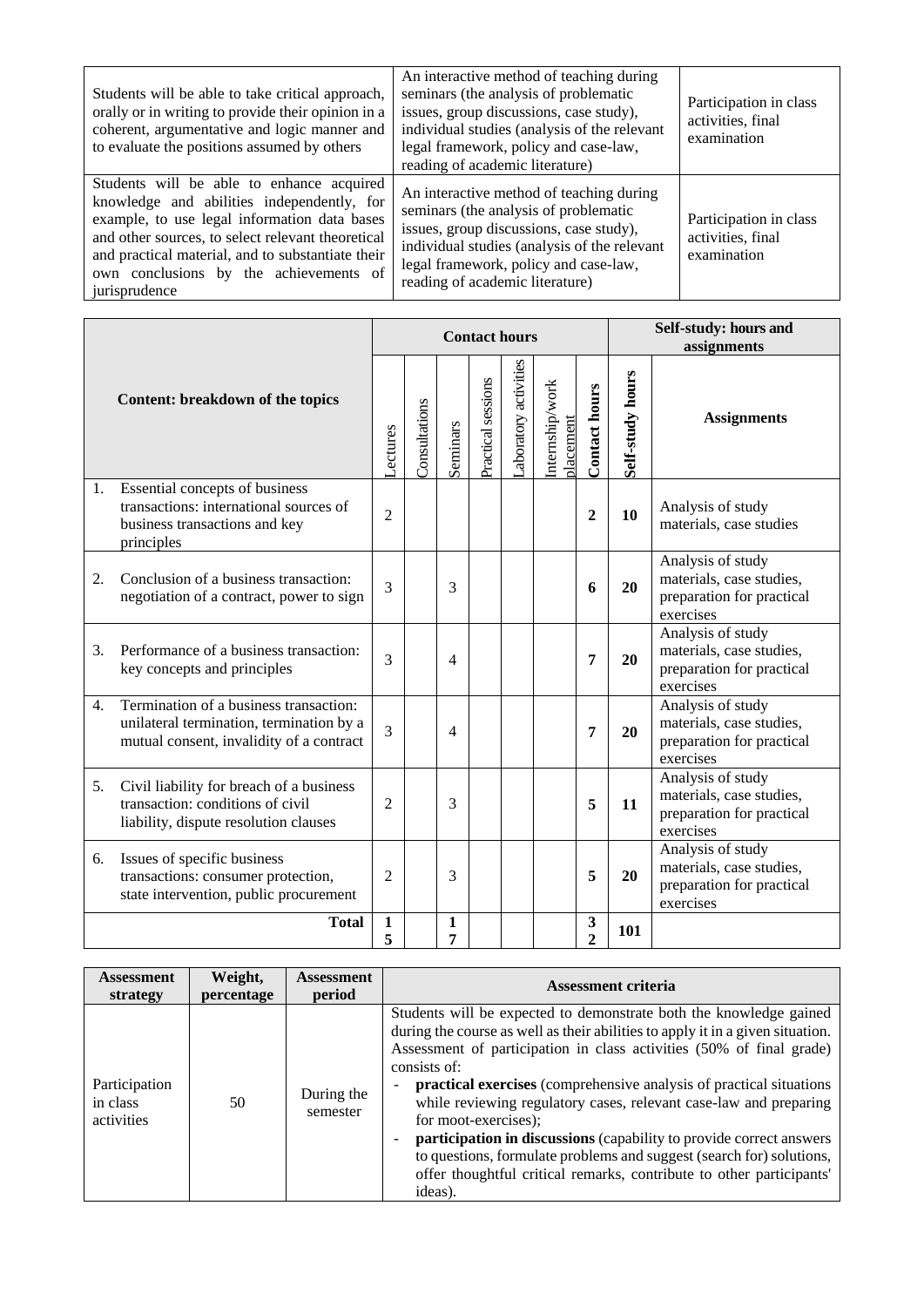| Students will be able to take critical approach,<br>orally or in writing to provide their opinion in a<br>coherent, argumentative and logic manner and<br>to evaluate the positions assumed by others                                                                                                        | An interactive method of teaching during<br>seminars (the analysis of problematic<br>issues, group discussions, case study),<br>individual studies (analysis of the relevant<br>legal framework, policy and case-law,<br>reading of academic literature) | Participation in class<br>activities, final<br>examination |
|--------------------------------------------------------------------------------------------------------------------------------------------------------------------------------------------------------------------------------------------------------------------------------------------------------------|----------------------------------------------------------------------------------------------------------------------------------------------------------------------------------------------------------------------------------------------------------|------------------------------------------------------------|
| Students will be able to enhance acquired<br>knowledge and abilities independently, for<br>example, to use legal information data bases<br>and other sources, to select relevant theoretical<br>and practical material, and to substantiate their<br>own conclusions by the achievements of<br>jurisprudence | An interactive method of teaching during<br>seminars (the analysis of problematic<br>issues, group discussions, case study),<br>individual studies (analysis of the relevant<br>legal framework, policy and case-law,<br>reading of academic literature) | Participation in class<br>activities, final<br>examination |

|    |                                                                                                                                |                   | <b>Contact hours</b> |                   |                    |                      |                              |                                | Self-study: hours and<br>assignments |                                                                                         |
|----|--------------------------------------------------------------------------------------------------------------------------------|-------------------|----------------------|-------------------|--------------------|----------------------|------------------------------|--------------------------------|--------------------------------------|-----------------------------------------------------------------------------------------|
|    | Content: breakdown of the topics                                                                                               | <b>ectures</b>    | Consultations        | Seminars          | Practical sessions | aboratory activities | Internship/work<br>placement | <b>Contact hours</b>           | Self-study hours                     | <b>Assignments</b>                                                                      |
| 1. | Essential concepts of business<br>transactions: international sources of<br>business transactions and key<br>principles        | $\overline{2}$    |                      |                   |                    |                      |                              | $\overline{2}$                 | 10                                   | Analysis of study<br>materials, case studies                                            |
| 2. | Conclusion of a business transaction:<br>negotiation of a contract, power to sign                                              | 3                 |                      | 3                 |                    |                      |                              | 6                              | 20                                   | Analysis of study<br>materials, case studies,<br>preparation for practical<br>exercises |
| 3. | Performance of a business transaction:<br>key concepts and principles                                                          | 3                 |                      | $\overline{4}$    |                    |                      |                              | $\overline{7}$                 | 20                                   | Analysis of study<br>materials, case studies,<br>preparation for practical<br>exercises |
| 4. | Termination of a business transaction:<br>unilateral termination, termination by a<br>mutual consent, invalidity of a contract | 3                 |                      | $\overline{4}$    |                    |                      |                              | 7                              | 20                                   | Analysis of study<br>materials, case studies,<br>preparation for practical<br>exercises |
| 5. | Civil liability for breach of a business<br>transaction: conditions of civil<br>liability, dispute resolution clauses          | $\overline{2}$    |                      | 3                 |                    |                      |                              | 5                              | 11                                   | Analysis of study<br>materials, case studies,<br>preparation for practical<br>exercises |
| 6. | Issues of specific business<br>transactions: consumer protection,<br>state intervention, public procurement                    | $\overline{2}$    |                      | 3                 |                    |                      |                              | 5                              | 20                                   | Analysis of study<br>materials, case studies,<br>preparation for practical<br>exercises |
|    | <b>Total</b>                                                                                                                   | $\mathbf{1}$<br>5 |                      | $\mathbf{1}$<br>7 |                    |                      |                              | $\mathbf{3}$<br>$\overline{2}$ | 101                                  |                                                                                         |

| <b>Assessment</b>                       | Weight,    | <b>Assessment</b>      | <b>Assessment criteria</b>                                                                                                                                                                                                                                                                                                                                                                                                                                                                                                                                                                                                                          |
|-----------------------------------------|------------|------------------------|-----------------------------------------------------------------------------------------------------------------------------------------------------------------------------------------------------------------------------------------------------------------------------------------------------------------------------------------------------------------------------------------------------------------------------------------------------------------------------------------------------------------------------------------------------------------------------------------------------------------------------------------------------|
| strategy                                | percentage | period                 |                                                                                                                                                                                                                                                                                                                                                                                                                                                                                                                                                                                                                                                     |
| Participation<br>in class<br>activities | 50         | During the<br>semester | Students will be expected to demonstrate both the knowledge gained<br>during the course as well as their abilities to apply it in a given situation.<br>Assessment of participation in class activities (50% of final grade)<br>consists of:<br>practical exercises (comprehensive analysis of practical situations)<br>while reviewing regulatory cases, relevant case-law and preparing<br>for moot-exercises);<br>participation in discussions (capability to provide correct answers<br>to questions, formulate problems and suggest (search for) solutions,<br>offer thoughtful critical remarks, contribute to other participants'<br>ideas). |